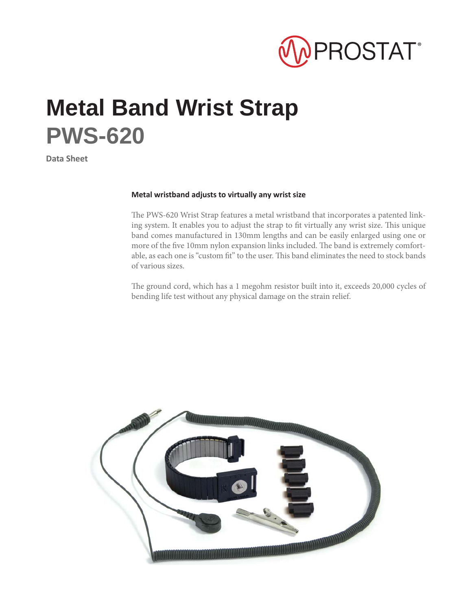

## **Metal Band Wrist Strap PWS-620**

**Data Sheet**

## **Metal wristband adjusts to virtually any wrist size**

The PWS-620 Wrist Strap features a metal wristband that incorporates a patented linking system. It enables you to adjust the strap to fit virtually any wrist size. This unique band comes manufactured in 130mm lengths and can be easily enlarged using one or more of the five 10mm nylon expansion links included. The band is extremely comfortable, as each one is "custom fit" to the user. This band eliminates the need to stock bands of various sizes.

The ground cord, which has a 1 megohm resistor built into it, exceeds 20,000 cycles of bending life test without any physical damage on the strain relief.